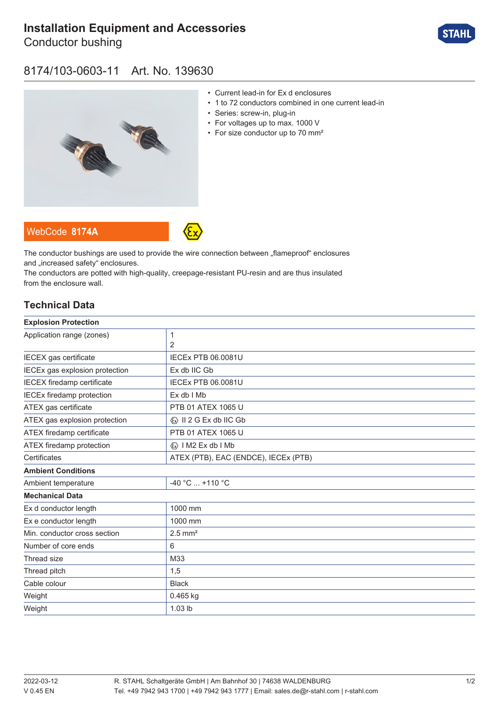# **[Installation Equipment and Accessories](https://r-stahl.com/en/global/products/materialid/139630)**

Conductor bushing



### 8174/103-0603-11 Art. No. 139630



- Current lead-in for Ex d enclosures
- 1 to 72 conductors combined in one current lead-in
- Series: screw-in, plug-in
- For voltages up to max. 1000 V
- For size conductor up to 70 mm<sup>2</sup>

The conductor bushings are used to provide the wire connection between "flameproof" enclosures and .increased safety" enclosures.

The conductors are potted with high-quality, creepage-resistant PU-resin and are thus insulated from the enclosure wall.

### **Technical Data**

WebCode **[8174A](https://r-stahl.com/en/global/products/downloads/webcode/8174A)**

| <b>Explosion Protection</b>       |                                         |
|-----------------------------------|-----------------------------------------|
| Application range (zones)         | 1                                       |
|                                   | $\overline{2}$                          |
| IECEX gas certificate             | <b>IECEX PTB 06.0081U</b>               |
| IECEx gas explosion protection    | Ex db IIC Gb                            |
| <b>IECEX</b> firedamp certificate | <b>IECEX PTB 06.0081U</b>               |
| <b>IECEx firedamp protection</b>  | Ex db I Mb                              |
| ATEX gas certificate              | PTB 01 ATEX 1065 U                      |
| ATEX gas explosion protection     | $\langle x \rangle$ II 2 G Ex db IIC Gb |
| ATEX firedamp certificate         | PTB 01 ATEX 1065 U                      |
| ATEX firedamp protection          | $\langle x \rangle$   M2 Ex db   Mb     |
| Certificates                      | ATEX (PTB), EAC (ENDCE), IECEx (PTB)    |
| <b>Ambient Conditions</b>         |                                         |
| Ambient temperature               | -40 °C  +110 °C                         |
| <b>Mechanical Data</b>            |                                         |
| Ex d conductor length             | 1000 mm                                 |
| Ex e conductor length             | 1000 mm                                 |
| Min. conductor cross section      | $2.5$ mm <sup>2</sup>                   |
| Number of core ends               | 6                                       |
| Thread size                       | M33                                     |
| Thread pitch                      | 1,5                                     |
| Cable colour                      | <b>Black</b>                            |
| Weight                            | $0.465$ kg                              |
| Weight                            | 1.03 lb                                 |